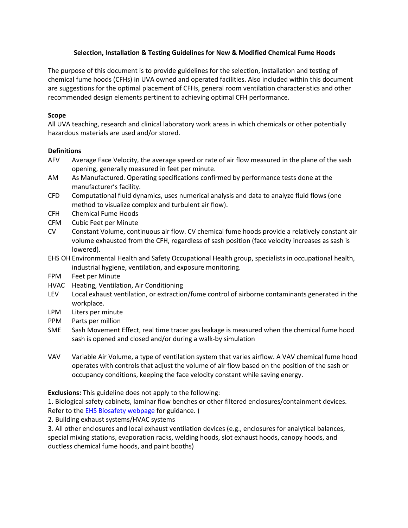## **Selection, Installation & Testing Guidelines for New & Modified Chemical Fume Hoods**

The purpose of this document is to provide guidelines for the selection, installation and testing of chemical fume hoods (CFHs) in UVA owned and operated facilities. Also included within this document are suggestions for the optimal placement of CFHs, general room ventilation characteristics and other recommended design elements pertinent to achieving optimal CFH performance.

## **Scope**

All UVA teaching, research and clinical laboratory work areas in which chemicals or other potentially hazardous materials are used and/or stored.

## **Definitions**

- AFV Average Face Velocity, the average speed or rate of air flow measured in the plane of the sash opening, generally measured in feet per minute.
- AM As Manufactured. Operating specifications confirmed by performance tests done at the manufacturer's facility.
- CFD Computational fluid dynamics, uses numerical analysis and data to analyze fluid flows (one method to visualize complex and turbulent air flow).
- CFH Chemical Fume Hoods
- CFM Cubic Feet per Minute
- CV Constant Volume, continuous air flow. CV chemical fume hoods provide a relatively constant air volume exhausted from the CFH, regardless of sash position (face velocity increases as sash is lowered).
- EHS OH Environmental Health and Safety Occupational Health group, specialists in occupational health, industrial hygiene, ventilation, and exposure monitoring.
- FPM Feet per Minute
- HVAC Heating, Ventilation, Air Conditioning
- LEV Local exhaust ventilation, or extraction/fume control of airborne contaminants generated in the workplace.
- LPM Liters per minute
- PPM Parts per million
- SME Sash Movement Effect, real time tracer gas leakage is measured when the chemical fume hood sash is opened and closed and/or during a walk-by simulation
- VAV Variable Air Volume, a type of ventilation system that varies airflow. A VAV chemical fume hood operates with controls that adjust the volume of air flow based on the position of the sash or occupancy conditions, keeping the face velocity constant while saving energy.

**Exclusions:** This guideline does not apply to the following:

1. Biological safety cabinets, laminar flow benches or other filtered enclosures/containment devices. Refer to the **EHS Biosafety webpage** for guidance.)

2. Building exhaust systems/HVAC systems

3. All other enclosures and local exhaust ventilation devices (e.g., enclosures for analytical balances, special mixing stations, evaporation racks, welding hoods, slot exhaust hoods, canopy hoods, and ductless chemical fume hoods, and paint booths)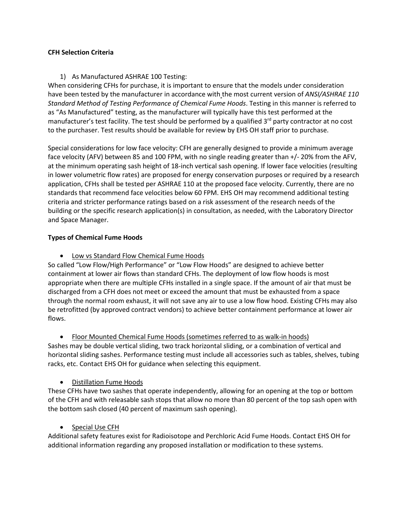### **CFH Selection Criteria**

## 1) As Manufactured ASHRAE 100 Testing:

When considering CFHs for purchase, it is important to ensure that the models under consideration have been tested by the manufacturer in accordance with the most current version of *ANSI/ASHRAE 110 Standard Method of Testing Performance of Chemical Fume Hoods*. Testing in this manner is referred to as "As Manufactured" testing, as the manufacturer will typically have this test performed at the manufacturer's test facility. The test should be performed by a qualified  $3<sup>rd</sup>$  party contractor at no cost to the purchaser. Test results should be available for review by EHS OH staff prior to purchase.

Special considerations for low face velocity: CFH are generally designed to provide a minimum average face velocity (AFV) between 85 and 100 FPM, with no single reading greater than +/- 20% from the AFV, at the minimum operating sash height of 18-inch vertical sash opening. If lower face velocities (resulting in lower volumetric flow rates) are proposed for energy conservation purposes or required by a research application, CFHs shall be tested per ASHRAE 110 at the proposed face velocity. Currently, there are no standards that recommend face velocities below 60 FPM. EHS OH may recommend additional testing criteria and stricter performance ratings based on a risk assessment of the research needs of the building or the specific research application(s) in consultation, as needed, with the Laboratory Director and Space Manager.

### **Types of Chemical Fume Hoods**

• Low vs Standard Flow Chemical Fume Hoods

So called "Low Flow/High Performance" or "Low Flow Hoods" are designed to achieve better containment at lower air flows than standard CFHs. The deployment of low flow hoods is most appropriate when there are multiple CFHs installed in a single space. If the amount of air that must be discharged from a CFH does not meet or exceed the amount that must be exhausted from a space through the normal room exhaust, it will not save any air to use a low flow hood. Existing CFHs may also be retrofitted (by approved contract vendors) to achieve better containment performance at lower air flows.

• Floor Mounted Chemical Fume Hoods (sometimes referred to as walk-in hoods) Sashes may be double vertical sliding, two track horizontal sliding, or a combination of vertical and horizontal sliding sashes. Performance testing must include all accessories such as tables, shelves, tubing racks, etc. Contact EHS OH for guidance when selecting this equipment.

# • Distillation Fume Hoods

These CFHs have two sashes that operate independently, allowing for an opening at the top or bottom of the CFH and with releasable sash stops that allow no more than 80 percent of the top sash open with the bottom sash closed (40 percent of maximum sash opening).

# • Special Use CFH

Additional safety features exist for Radioisotope and Perchloric Acid Fume Hoods. Contact EHS OH for additional information regarding any proposed installation or modification to these systems.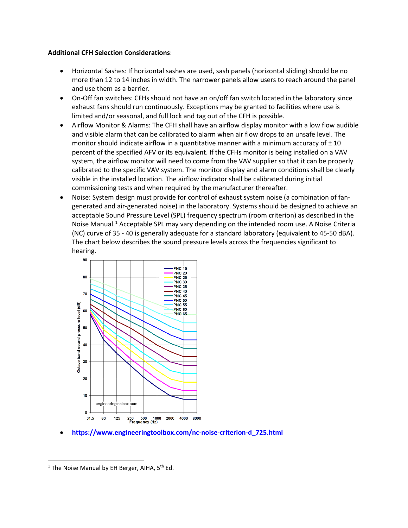#### **Additional CFH Selection Considerations**:

- Horizontal Sashes: If horizontal sashes are used, sash panels (horizontal sliding) should be no more than 12 to 14 inches in width. The narrower panels allow users to reach around the panel and use them as a barrier.
- On-Off fan switches: CFHs should not have an on/off fan switch located in the laboratory since exhaust fans should run continuously. Exceptions may be granted to facilities where use is limited and/or seasonal, and full lock and tag out of the CFH is possible.
- Airflow Monitor & Alarms: The CFH shall have an airflow display monitor with a low flow audible and visible alarm that can be calibrated to alarm when air flow drops to an unsafe level. The monitor should indicate airflow in a quantitative manner with a minimum accuracy of  $\pm 10$ percent of the specified AFV or its equivalent. If the CFHs monitor is being installed on a VAV system, the airflow monitor will need to come from the VAV supplier so that it can be properly calibrated to the specific VAV system. The monitor display and alarm conditions shall be clearly visible in the installed location. The airflow indicator shall be calibrated during initial commissioning tests and when required by the manufacturer thereafter.
- Noise: System design must provide for control of exhaust system noise (a combination of fangenerated and air-generated noise) in the laboratory. Systems should be designed to achieve an acceptable Sound Pressure Level (SPL) frequency spectrum (room criterion) as described in the Noise Manual.<sup>[1](#page-2-0)</sup> Acceptable SPL may vary depending on the intended room use. A Noise Criteria (NC) curve of 35 - 40 is generally adequate for a standard laboratory (equivalent to 45-50 dBA). The chart below describes the sound pressure levels across the frequencies significant to hearing.



• **[https://www.engineeringtoolbox.com/nc-noise-criterion-d\\_725.html](https://www.engineeringtoolbox.com/nc-noise-criterion-d_725.html)**

<span id="page-2-0"></span><sup>&</sup>lt;sup>1</sup> The Noise Manual by EH Berger, AIHA,  $5<sup>th</sup>$  Ed.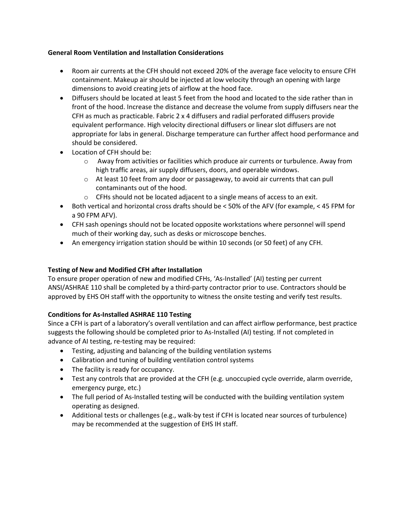## **General Room Ventilation and Installation Considerations**

- Room air currents at the CFH should not exceed 20% of the average face velocity to ensure CFH containment. Makeup air should be injected at low velocity through an opening with large dimensions to avoid creating jets of airflow at the hood face.
- Diffusers should be located at least 5 feet from the hood and located to the side rather than in front of the hood. Increase the distance and decrease the volume from supply diffusers near the CFH as much as practicable. Fabric  $2 \times 4$  diffusers and radial perforated diffusers provide equivalent performance. High velocity directional diffusers or linear slot diffusers are not appropriate for labs in general. Discharge temperature can further affect hood performance and should be considered.
- Location of CFH should be:
	- o Away from activities or facilities which produce air currents or turbulence. Away from high traffic areas, air supply diffusers, doors, and operable windows.
	- o At least 10 feet from any door or passageway, to avoid air currents that can pull contaminants out of the hood.
	- $\circ$  CFHs should not be located adjacent to a single means of access to an exit.
- Both vertical and horizontal cross drafts should be < 50% of the AFV (for example, < 45 FPM for a 90 FPM AFV).
- CFH sash openings should not be located opposite workstations where personnel will spend much of their working day, such as desks or microscope benches.
- An emergency irrigation station should be within 10 seconds (or 50 feet) of any CFH.

# **Testing of New and Modified CFH after Installation**

To ensure proper operation of new and modified CFHs, 'As-Installed' (AI) testing per current ANSI/ASHRAE 110 shall be completed by a third-party contractor prior to use. Contractors should be approved by EHS OH staff with the opportunity to witness the onsite testing and verify test results.

# **Conditions for As-Installed ASHRAE 110 Testing**

Since a CFH is part of a laboratory's overall ventilation and can affect airflow performance, best practice suggests the following should be completed prior to As-Installed (AI) testing. If not completed in advance of AI testing, re-testing may be required:

- Testing, adjusting and balancing of the building ventilation systems
- Calibration and tuning of building ventilation control systems
- The facility is ready for occupancy.
- Test any controls that are provided at the CFH (e.g. unoccupied cycle override, alarm override, emergency purge, etc.)
- The full period of As-Installed testing will be conducted with the building ventilation system operating as designed.
- Additional tests or challenges (e.g., walk-by test if CFH is located near sources of turbulence) may be recommended at the suggestion of EHS IH staff.